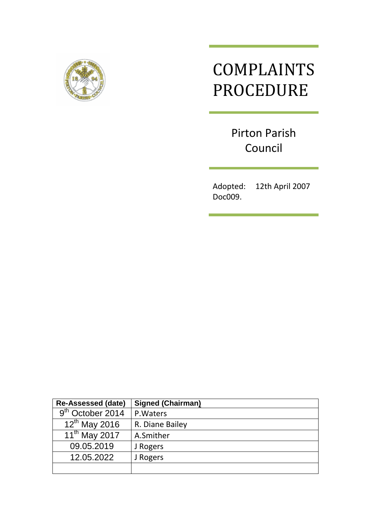

# COMPLAINTS PROCEDURE

Pirton Parish Council

Adopted: 12th April 2007 Doc009.

| <b>Re-Assessed (date)</b>    | <b>Signed (Chairman)</b> |
|------------------------------|--------------------------|
| 9 <sup>th</sup> October 2014 | P. Waters                |
| $12^{th}$ May 2016           | R. Diane Bailey          |
| 11 <sup>th</sup> May 2017    | A.Smither                |
| 09.05.2019                   | J Rogers                 |
| 12.05.2022                   | J Rogers                 |
|                              |                          |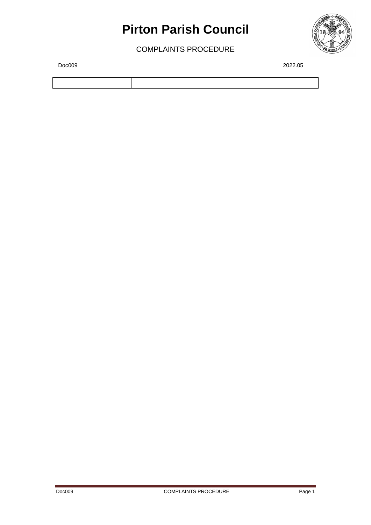### **Pirton Parish Council**

COMPLAINTS PROCEDURE



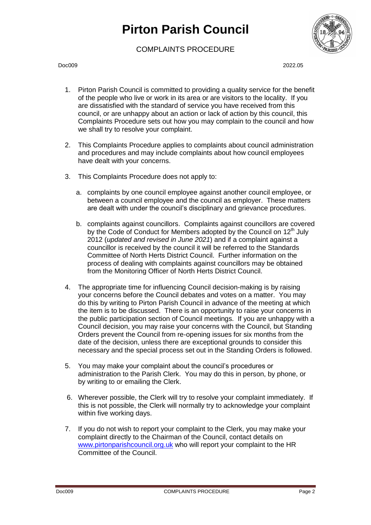### **Pirton Parish Council**

#### COMPLAINTS PROCEDURE



Doc009 2022.05

- 1. Pirton Parish Council is committed to providing a quality service for the benefit of the people who live or work in its area or are visitors to the locality. If you are dissatisfied with the standard of service you have received from this council, or are unhappy about an action or lack of action by this council, this Complaints Procedure sets out how you may complain to the council and how we shall try to resolve your complaint.
- 2. This Complaints Procedure applies to complaints about council administration and procedures and may include complaints about how council employees have dealt with your concerns.
- 3. This Complaints Procedure does not apply to:
	- a. complaints by one council employee against another council employee, or between a council employee and the council as employer. These matters are dealt with under the council's disciplinary and grievance procedures.
	- b. complaints against councillors. Complaints against councillors are covered by the Code of Conduct for Members adopted by the Council on 12<sup>th</sup> July 2012 (*updated and revised in June 2021*) and if a complaint against a councillor is received by the council it will be referred to the Standards Committee of North Herts District Council. Further information on the process of dealing with complaints against councillors may be obtained from the Monitoring Officer of North Herts District Council.
- 4. The appropriate time for influencing Council decision-making is by raising your concerns before the Council debates and votes on a matter. You may do this by writing to Pirton Parish Council in advance of the meeting at which the item is to be discussed. There is an opportunity to raise your concerns in the public participation section of Council meetings. If you are unhappy with a Council decision, you may raise your concerns with the Council, but Standing Orders prevent the Council from re-opening issues for six months from the date of the decision, unless there are exceptional grounds to consider this necessary and the special process set out in the Standing Orders is followed.
- 5. You may make your complaint about the council's procedures or administration to the Parish Clerk. You may do this in person, by phone, or by writing to or emailing the Clerk.
- 6. Wherever possible, the Clerk will try to resolve your complaint immediately. If this is not possible, the Clerk will normally try to acknowledge your complaint within five working days.
- 7. If you do not wish to report your complaint to the Clerk, you may make your complaint directly to the Chairman of the Council, contact details on [www.pirtonparishcouncil.org.uk](http://www.pirtonparishcouncil.org.uk/) who will report your complaint to the HR Committee of the Council.